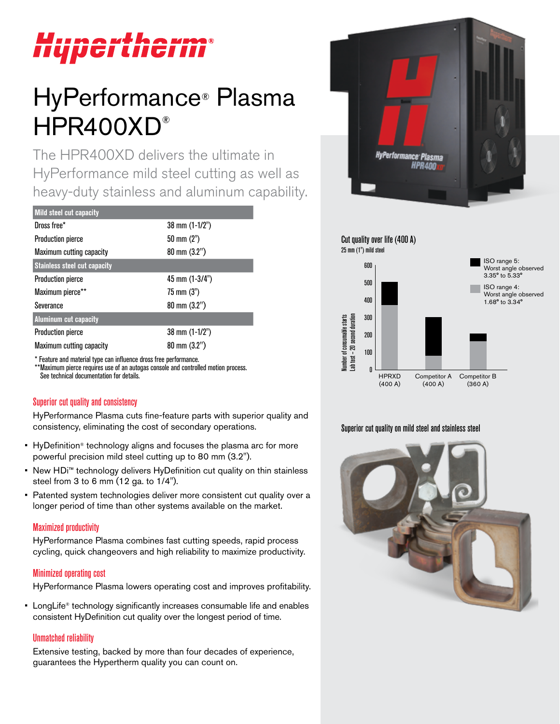# Hypertherm®

# HyPerformance® Plasma HPR400XD®

The HPR400XD delivers the ultimate in HyPerformance mild steel cutting as well as heavy-duty stainless and aluminum capability.

| Mild steel cut capacity             |                          |
|-------------------------------------|--------------------------|
| Dross free*                         | 38 mm (1-1/2")           |
| <b>Production pierce</b>            | $50 \text{ mm} (2")$     |
| <b>Maximum cutting capacity</b>     | $80 \text{ mm} (3.2")$   |
| <b>Stainless steel cut capacity</b> |                          |
| <b>Production pierce</b>            | 45 mm $(1-3/4")$         |
| Maximum pierce**                    | $75 \text{ mm} (3")$     |
| Severance                           | $80 \text{ mm} (3.2")$   |
| <b>Aluminum cut capacity</b>        |                          |
| <b>Production pierce</b>            | $38 \text{ mm}$ (1-1/2") |
| Maximum cutting capacity            | $80 \text{ mm} (3.2")$   |
|                                     |                          |

\* Feature and material type can influence dross free performance. \*\*Maximum pierce requires use of an autogas console and controlled motion process. See technical documentation for details.

# Superior cut quality and consistency

HyPerformance Plasma cuts fine-feature parts with superior quality and consistency, eliminating the cost of secondary operations.

- HyDefinition<sup>®</sup> technology aligns and focuses the plasma arc for more powerful precision mild steel cutting up to 80 mm (3.2").
- New HDi™ technology delivers HyDefinition cut quality on thin stainless steel from 3 to 6 mm (12 ga. to 1/4").
- Patented system technologies deliver more consistent cut quality over a longer period of time than other systems available on the market.

# Maximized productivity

HyPerformance Plasma combines fast cutting speeds, rapid process cycling, quick changeovers and high reliability to maximize productivity.

#### Minimized operating cost

HyPerformance Plasma lowers operating cost and improves profitability.

• LongLife<sup>®</sup> technology significantly increases consumable life and enables consistent HyDefinition cut quality over the longest period of time.

# Unmatched reliability

Extensive testing, backed by more than four decades of experience, guarantees the Hypertherm quality you can count on.





#### Superior cut quality on mild steel and stainless steel